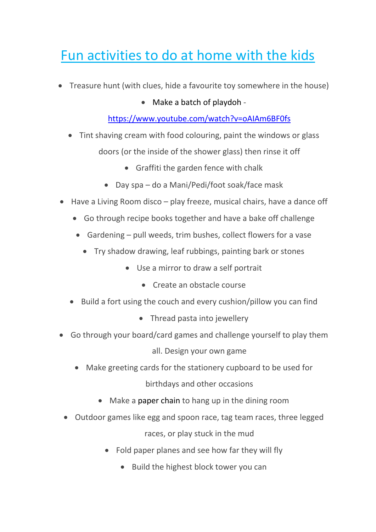## Fun activities to do at home with the kids

- Treasure hunt (with clues, hide a favourite toy somewhere in the house)
	- Make a batch of playdoh -

## <https://www.youtube.com/watch?v=oAIAm6BF0fs>

- Tint shaving cream with food colouring, paint the windows or glass doors (or the inside of the shower glass) then rinse it off
	- Graffiti the garden fence with chalk
	- Day spa do a Mani/Pedi/foot soak/face mask
- Have a Living Room disco play freeze, musical chairs, have a dance off
	- Go through recipe books together and have a bake off challenge
	- Gardening pull weeds, trim bushes, collect flowers for a vase
		- Try shadow drawing, leaf rubbings, painting bark or stones
			- Use a mirror to draw a self portrait
				- Create an obstacle course
	- Build a fort using the couch and every cushion/pillow you can find
		- Thread pasta into jewellery
- Go through your board/card games and challenge yourself to play them all. Design your own game
	- Make greeting cards for the stationery cupboard to be used for birthdays and other occasions
		- Make a paper chain to hang up in the dining room
	- Outdoor games like egg and spoon race, tag team races, three legged races, or play stuck in the mud
		- Fold paper planes and see how far they will fly
			- Build the highest block tower you can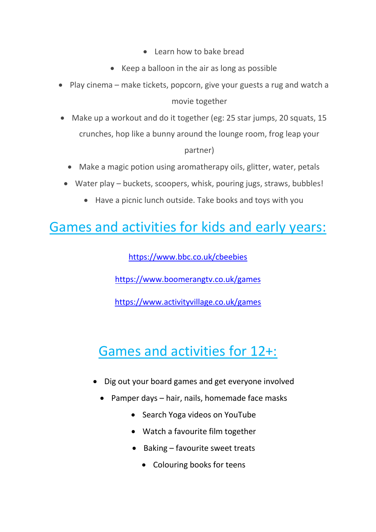- Learn how to bake bread
- Keep a balloon in the air as long as possible
- Play cinema make tickets, popcorn, give your guests a rug and watch a movie together
- Make up a workout and do it together (eg: 25 star jumps, 20 squats, 15 crunches, hop like a bunny around the lounge room, frog leap your partner)
	- Make a magic potion using aromatherapy oils, glitter, water, petals
	- Water play buckets, scoopers, whisk, pouring jugs, straws, bubbles!
		- Have a picnic lunch outside. Take books and toys with you

## Games and activities for kids and early years:

<https://www.bbc.co.uk/cbeebies>

<https://www.boomerangtv.co.uk/games>

<https://www.activityvillage.co.uk/games>

## Games and activities for 12+:

- Dig out your board games and get everyone involved
	- Pamper days hair, nails, homemade face masks
		- Search Yoga videos on YouTube
		- Watch a favourite film together
		- $\bullet$  Baking favourite sweet treats
			- Colouring books for teens